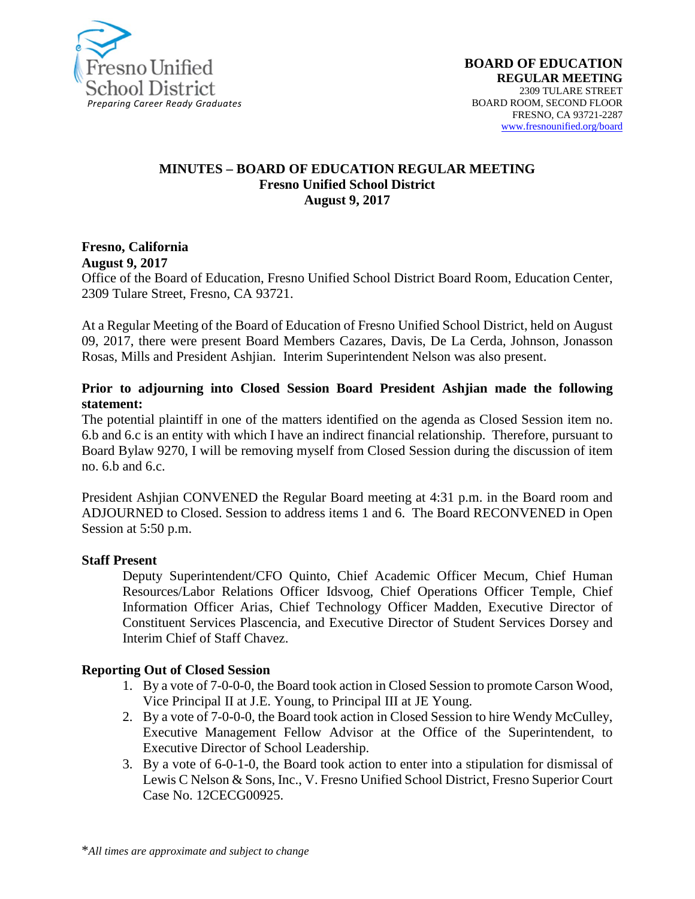

#### **MINUTES – BOARD OF EDUCATION REGULAR MEETING Fresno Unified School District August 9, 2017**

## **Fresno, California**

**August 9, 2017** 

Office of the Board of Education, Fresno Unified School District Board Room, Education Center, 2309 Tulare Street, Fresno, CA 93721.

At a Regular Meeting of the Board of Education of Fresno Unified School District, held on August 09, 2017, there were present Board Members Cazares, Davis, De La Cerda, Johnson, Jonasson Rosas, Mills and President Ashjian. Interim Superintendent Nelson was also present.

#### **Prior to adjourning into Closed Session Board President Ashjian made the following statement:**

The potential plaintiff in one of the matters identified on the agenda as Closed Session item no. 6.b and 6.c is an entity with which I have an indirect financial relationship. Therefore, pursuant to Board Bylaw 9270, I will be removing myself from Closed Session during the discussion of item no. 6.b and 6.c.

President Ashjian CONVENED the Regular Board meeting at 4:31 p.m. in the Board room and ADJOURNED to Closed. Session to address items 1 and 6. The Board RECONVENED in Open Session at 5:50 p.m.

#### **Staff Present**

Deputy Superintendent/CFO Quinto, Chief Academic Officer Mecum, Chief Human Resources/Labor Relations Officer Idsvoog, Chief Operations Officer Temple, Chief Information Officer Arias, Chief Technology Officer Madden, Executive Director of Constituent Services Plascencia, and Executive Director of Student Services Dorsey and Interim Chief of Staff Chavez.

#### **Reporting Out of Closed Session**

- 1. By a vote of 7-0-0-0, the Board took action in Closed Session to promote Carson Wood, Vice Principal II at J.E. Young, to Principal III at JE Young.
- 2. By a vote of 7-0-0-0, the Board took action in Closed Session to hire Wendy McCulley, Executive Management Fellow Advisor at the Office of the Superintendent, to Executive Director of School Leadership.
- 3. By a vote of 6-0-1-0, the Board took action to enter into a stipulation for dismissal of Lewis C Nelson & Sons, Inc., V. Fresno Unified School District, Fresno Superior Court Case No. 12CECG00925.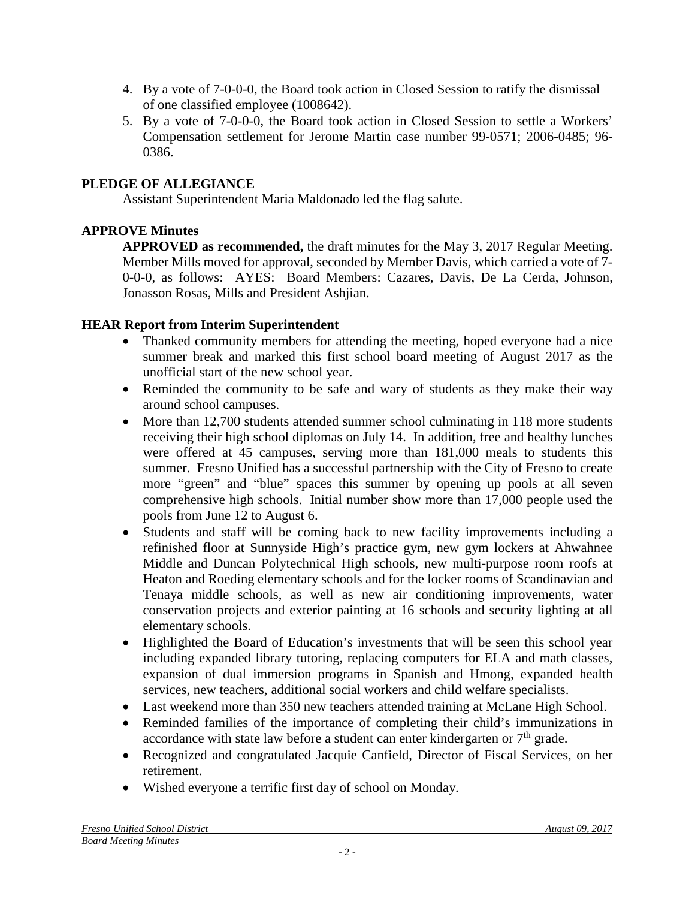- 4. By a vote of 7-0-0-0, the Board took action in Closed Session to ratify the dismissal of one classified employee (1008642).
- 5. By a vote of 7-0-0-0, the Board took action in Closed Session to settle a Workers' Compensation settlement for Jerome Martin case number 99-0571; 2006-0485; 96- 0386.

# **PLEDGE OF ALLEGIANCE**

Assistant Superintendent Maria Maldonado led the flag salute.

# **APPROVE Minutes**

**APPROVED as recommended,** the draft minutes for the May 3, 2017 Regular Meeting. Member Mills moved for approval, seconded by Member Davis, which carried a vote of 7- 0-0-0, as follows: AYES: Board Members: Cazares, Davis, De La Cerda, Johnson, Jonasson Rosas, Mills and President Ashjian.

## **HEAR Report from Interim Superintendent**

- Thanked community members for attending the meeting, hoped everyone had a nice summer break and marked this first school board meeting of August 2017 as the unofficial start of the new school year.
- Reminded the community to be safe and wary of students as they make their way around school campuses.
- More than 12,700 students attended summer school culminating in 118 more students receiving their high school diplomas on July 14. In addition, free and healthy lunches were offered at 45 campuses, serving more than 181,000 meals to students this summer. Fresno Unified has a successful partnership with the City of Fresno to create more "green" and "blue" spaces this summer by opening up pools at all seven comprehensive high schools. Initial number show more than 17,000 people used the pools from June 12 to August 6.
- Students and staff will be coming back to new facility improvements including a refinished floor at Sunnyside High's practice gym, new gym lockers at Ahwahnee Middle and Duncan Polytechnical High schools, new multi-purpose room roofs at Heaton and Roeding elementary schools and for the locker rooms of Scandinavian and Tenaya middle schools, as well as new air conditioning improvements, water conservation projects and exterior painting at 16 schools and security lighting at all elementary schools.
- Highlighted the Board of Education's investments that will be seen this school year including expanded library tutoring, replacing computers for ELA and math classes, expansion of dual immersion programs in Spanish and Hmong, expanded health services, new teachers, additional social workers and child welfare specialists.
- Last weekend more than 350 new teachers attended training at McLane High School.
- Reminded families of the importance of completing their child's immunizations in accordance with state law before a student can enter kindergarten or  $7<sup>th</sup>$  grade.
- Recognized and congratulated Jacquie Canfield, Director of Fiscal Services, on her retirement.
- Wished everyone a terrific first day of school on Monday.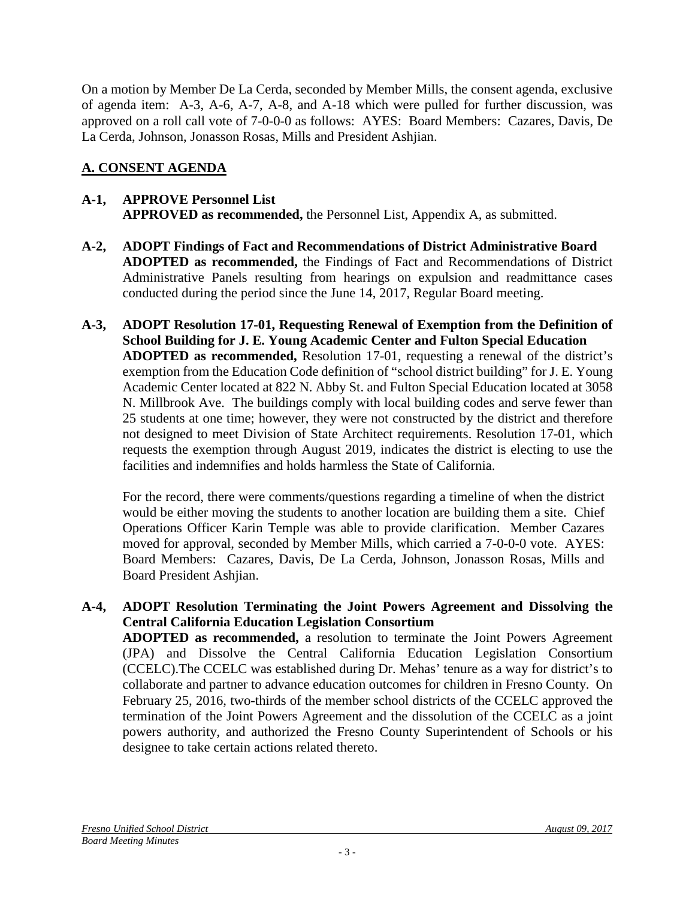On a motion by Member De La Cerda, seconded by Member Mills, the consent agenda, exclusive of agenda item: A-3, A-6, A-7, A-8, and A-18 which were pulled for further discussion, was approved on a roll call vote of 7-0-0-0 as follows: AYES: Board Members: Cazares, Davis, De La Cerda, Johnson, Jonasson Rosas, Mills and President Ashjian.

# **A. CONSENT AGENDA**

#### **A-1, APPROVE Personnel List APPROVED as recommended,** the Personnel List, Appendix A, as submitted.

- **A-2, ADOPT Findings of Fact and Recommendations of District Administrative Board ADOPTED as recommended,** the Findings of Fact and Recommendations of District Administrative Panels resulting from hearings on expulsion and readmittance cases conducted during the period since the June 14, 2017, Regular Board meeting.
- **A-3, ADOPT Resolution 17-01, Requesting Renewal of Exemption from the Definition of School Building for J. E. Young Academic Center and Fulton Special Education ADOPTED as recommended,** Resolution 17-01, requesting a renewal of the district's exemption from the Education Code definition of "school district building" for J. E. Young Academic Center located at 822 N. Abby St. and Fulton Special Education located at 3058 N. Millbrook Ave. The buildings comply with local building codes and serve fewer than 25 students at one time; however, they were not constructed by the district and therefore not designed to meet Division of State Architect requirements. Resolution 17-01, which requests the exemption through August 2019, indicates the district is electing to use the facilities and indemnifies and holds harmless the State of California.

For the record, there were comments/questions regarding a timeline of when the district would be either moving the students to another location are building them a site. Chief Operations Officer Karin Temple was able to provide clarification. Member Cazares moved for approval, seconded by Member Mills, which carried a 7-0-0-0 vote. AYES: Board Members: Cazares, Davis, De La Cerda, Johnson, Jonasson Rosas, Mills and Board President Ashjian.

#### **A-4, ADOPT Resolution Terminating the Joint Powers Agreement and Dissolving the Central California Education Legislation Consortium**

**ADOPTED as recommended,** a resolution to terminate the Joint Powers Agreement (JPA) and Dissolve the Central California Education Legislation Consortium (CCELC).The CCELC was established during Dr. Mehas' tenure as a way for district's to collaborate and partner to advance education outcomes for children in Fresno County. On February 25, 2016, two-thirds of the member school districts of the CCELC approved the termination of the Joint Powers Agreement and the dissolution of the CCELC as a joint powers authority, and authorized the Fresno County Superintendent of Schools or his designee to take certain actions related thereto.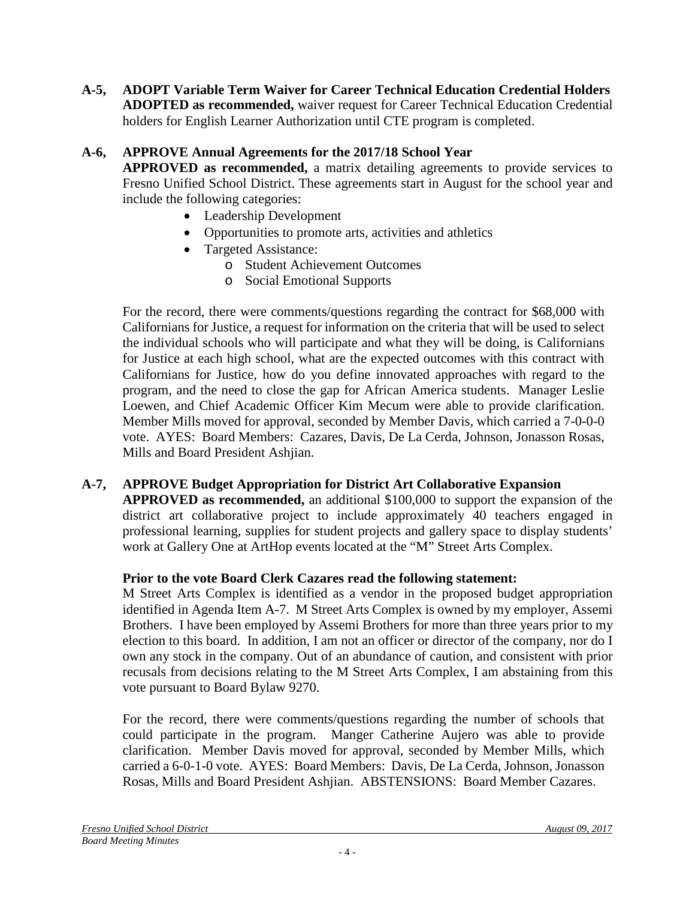**A-5, ADOPT Variable Term Waiver for Career Technical Education Credential Holders ADOPTED as recommended,** waiver request for Career Technical Education Credential holders for English Learner Authorization until CTE program is completed.

## **A-6, APPROVE Annual Agreements for the 2017/18 School Year**

**APPROVED as recommended,** a matrix detailing agreements to provide services to Fresno Unified School District. These agreements start in August for the school year and include the following categories:

- Leadership Development
- Opportunities to promote arts, activities and athletics
- Targeted Assistance:
	- o Student Achievement Outcomes
	- o Social Emotional Supports

For the record, there were comments/questions regarding the contract for \$68,000 with Californians for Justice, a request for information on the criteria that will be used to select the individual schools who will participate and what they will be doing, is Californians for Justice at each high school, what are the expected outcomes with this contract with Californians for Justice, how do you define innovated approaches with regard to the program, and the need to close the gap for African America students. Manager Leslie Loewen, and Chief Academic Officer Kim Mecum were able to provide clarification. Member Mills moved for approval, seconded by Member Davis, which carried a 7-0-0-0 vote. AYES: Board Members: Cazares, Davis, De La Cerda, Johnson, Jonasson Rosas, Mills and Board President Ashjian.

## **A-7, APPROVE Budget Appropriation for District Art Collaborative Expansion**

**APPROVED as recommended,** an additional \$100,000 to support the expansion of the district art collaborative project to include approximately 40 teachers engaged in professional learning, supplies for student projects and gallery space to display students' work at Gallery One at ArtHop events located at the "M" Street Arts Complex.

#### **Prior to the vote Board Clerk Cazares read the following statement:**

M Street Arts Complex is identified as a vendor in the proposed budget appropriation identified in Agenda Item A-7. M Street Arts Complex is owned by my employer, Assemi Brothers. I have been employed by Assemi Brothers for more than three years prior to my election to this board. In addition, I am not an officer or director of the company, nor do I own any stock in the company. Out of an abundance of caution, and consistent with prior recusals from decisions relating to the M Street Arts Complex, I am abstaining from this vote pursuant to Board Bylaw 9270.

For the record, there were comments/questions regarding the number of schools that could participate in the program. Manger Catherine Aujero was able to provide clarification. Member Davis moved for approval, seconded by Member Mills, which carried a 6-0-1-0 vote. AYES: Board Members: Davis, De La Cerda, Johnson, Jonasson Rosas, Mills and Board President Ashjian. ABSTENSIONS: Board Member Cazares.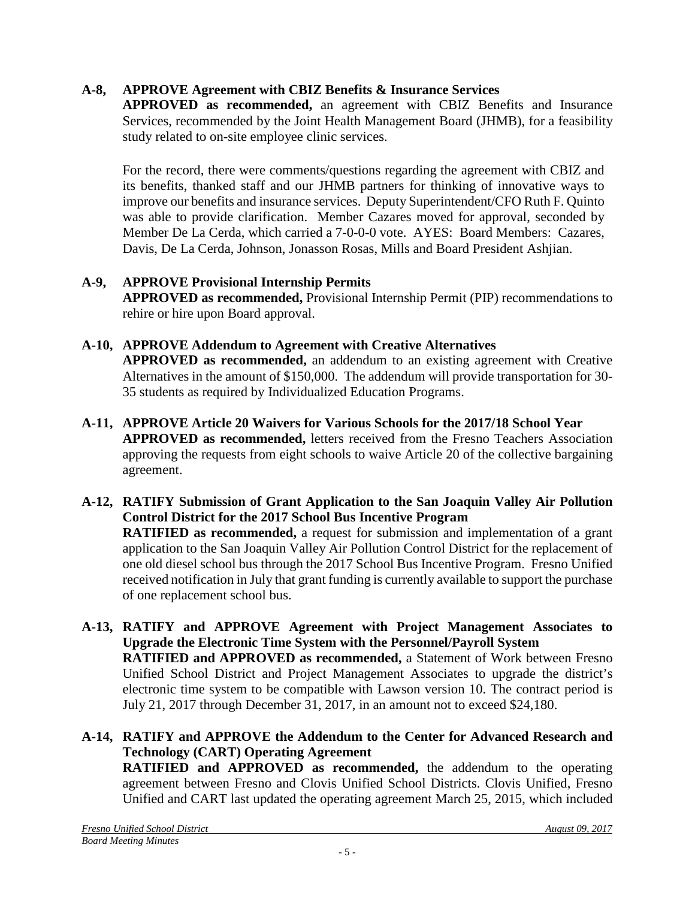# **A-8, APPROVE Agreement with CBIZ Benefits & Insurance Services**

**APPROVED as recommended,** an agreement with CBIZ Benefits and Insurance Services, recommended by the Joint Health Management Board (JHMB), for a feasibility study related to on-site employee clinic services.

For the record, there were comments/questions regarding the agreement with CBIZ and its benefits, thanked staff and our JHMB partners for thinking of innovative ways to improve our benefits and insurance services. Deputy Superintendent/CFO Ruth F. Quinto was able to provide clarification. Member Cazares moved for approval, seconded by Member De La Cerda, which carried a 7-0-0-0 vote. AYES: Board Members: Cazares, Davis, De La Cerda, Johnson, Jonasson Rosas, Mills and Board President Ashjian.

## **A-9, APPROVE Provisional Internship Permits**

**APPROVED as recommended,** Provisional Internship Permit (PIP) recommendations to rehire or hire upon Board approval.

## **A-10, APPROVE Addendum to Agreement with Creative Alternatives**

**APPROVED as recommended,** an addendum to an existing agreement with Creative Alternatives in the amount of \$150,000. The addendum will provide transportation for 30- 35 students as required by Individualized Education Programs.

- **A-11, APPROVE Article 20 Waivers for Various Schools for the 2017/18 School Year APPROVED as recommended,** letters received from the Fresno Teachers Association approving the requests from eight schools to waive Article 20 of the collective bargaining agreement.
- **A-12, RATIFY Submission of Grant Application to the San Joaquin Valley Air Pollution Control District for the 2017 School Bus Incentive Program RATIFIED as recommended,** a request for submission and implementation of a grant application to the San Joaquin Valley Air Pollution Control District for the replacement of one old diesel school bus through the 2017 School Bus Incentive Program. Fresno Unified received notification in July that grant funding is currently available to support the purchase of one replacement school bus.
- **A-13, RATIFY and APPROVE Agreement with Project Management Associates to Upgrade the Electronic Time System with the Personnel/Payroll System RATIFIED and APPROVED as recommended,** a Statement of Work between Fresno Unified School District and Project Management Associates to upgrade the district's electronic time system to be compatible with Lawson version 10. The contract period is July 21, 2017 through December 31, 2017, in an amount not to exceed \$24,180.
- **A-14, RATIFY and APPROVE the Addendum to the Center for Advanced Research and Technology (CART) Operating Agreement RATIFIED and APPROVED as recommended,** the addendum to the operating agreement between Fresno and Clovis Unified School Districts. Clovis Unified, Fresno Unified and CART last updated the operating agreement March 25, 2015, which included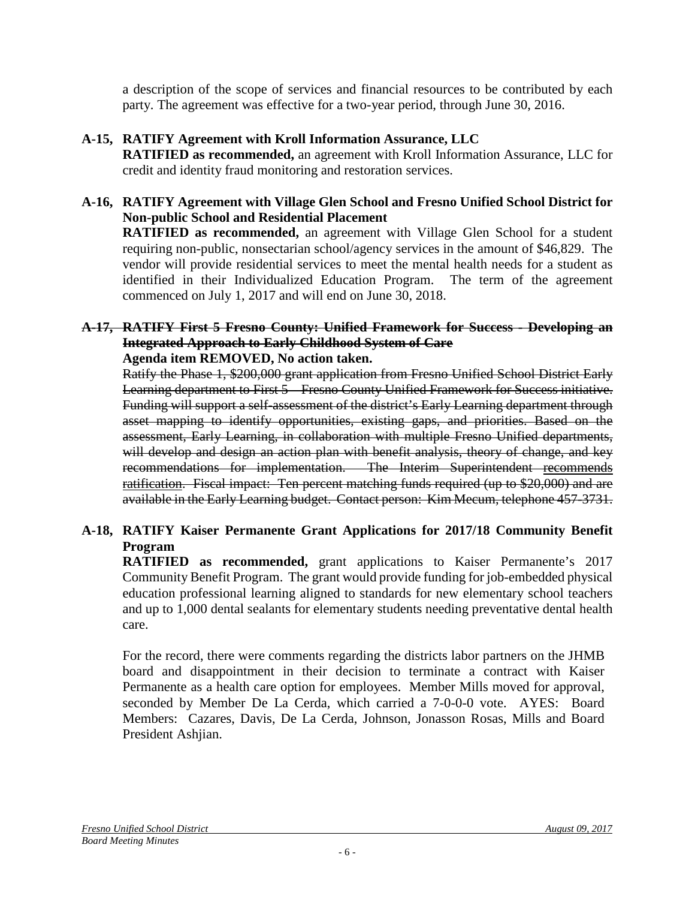a description of the scope of services and financial resources to be contributed by each party. The agreement was effective for a two-year period, through June 30, 2016.

# **A-15, RATIFY Agreement with Kroll Information Assurance, LLC**

**RATIFIED as recommended,** an agreement with Kroll Information Assurance, LLC for credit and identity fraud monitoring and restoration services.

#### **A-16, RATIFY Agreement with Village Glen School and Fresno Unified School District for Non-public School and Residential Placement**

**RATIFIED as recommended,** an agreement with Village Glen School for a student requiring non-public, nonsectarian school/agency services in the amount of \$46,829. The vendor will provide residential services to meet the mental health needs for a student as identified in their Individualized Education Program. The term of the agreement commenced on July 1, 2017 and will end on June 30, 2018.

#### **A-17, RATIFY First 5 Fresno County: Unified Framework for Success - Developing an Integrated Approach to Early Childhood System of Care Agenda item REMOVED, No action taken.**

Ratify the Phase 1, \$200,000 grant application from Fresno Unified School District Early Learning department to First 5 – Fresno County Unified Framework for Success initiative. Funding will support a self-assessment of the district's Early Learning department through asset mapping to identify opportunities, existing gaps, and priorities. Based on the assessment, Early Learning, in collaboration with multiple Fresno Unified departments, will develop and design an action plan with benefit analysis, theory of change, and key recommendations for implementation. The Interim Superintendent recommends ratification. Fiscal impact: Ten percent matching funds required (up to \$20,000) and are available in the Early Learning budget. Contact person: Kim Mecum, telephone 457-3731.

# **A-18, RATIFY Kaiser Permanente Grant Applications for 2017/18 Community Benefit Program**

**RATIFIED as recommended,** grant applications to Kaiser Permanente's 2017 Community Benefit Program. The grant would provide funding for job-embedded physical education professional learning aligned to standards for new elementary school teachers and up to 1,000 dental sealants for elementary students needing preventative dental health care.

For the record, there were comments regarding the districts labor partners on the JHMB board and disappointment in their decision to terminate a contract with Kaiser Permanente as a health care option for employees. Member Mills moved for approval, seconded by Member De La Cerda, which carried a 7-0-0-0 vote. AYES: Board Members: Cazares, Davis, De La Cerda, Johnson, Jonasson Rosas, Mills and Board President Ashjian.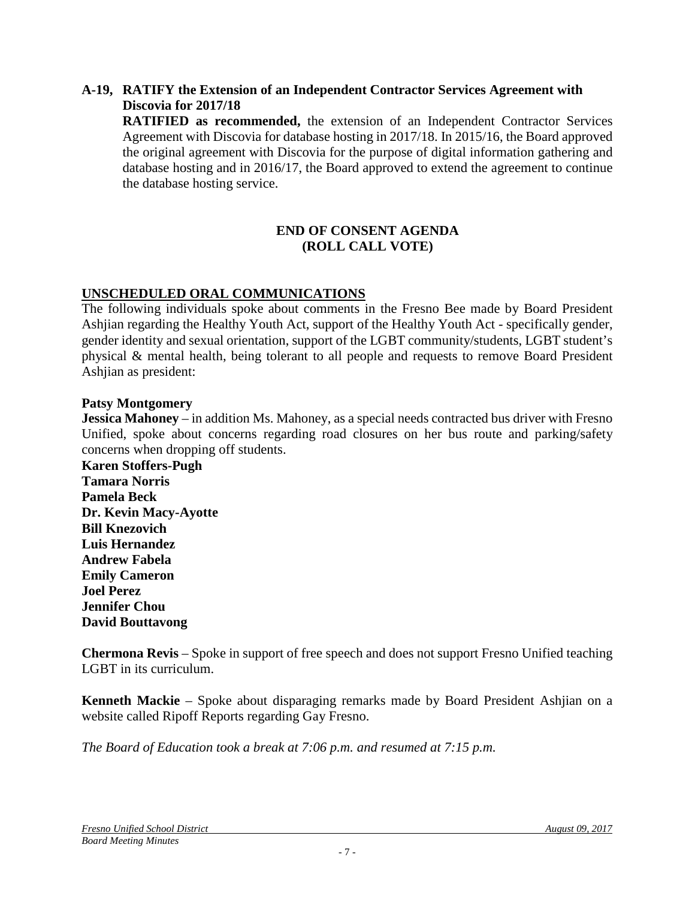#### **A-19, RATIFY the Extension of an Independent Contractor Services Agreement with Discovia for 2017/18**

**RATIFIED as recommended,** the extension of an Independent Contractor Services Agreement with Discovia for database hosting in 2017/18. In 2015/16, the Board approved the original agreement with Discovia for the purpose of digital information gathering and database hosting and in 2016/17, the Board approved to extend the agreement to continue the database hosting service.

#### **END OF CONSENT AGENDA (ROLL CALL VOTE)**

# **UNSCHEDULED ORAL COMMUNICATIONS**

The following individuals spoke about comments in the Fresno Bee made by Board President Ashjian regarding the Healthy Youth Act, support of the Healthy Youth Act - specifically gender, gender identity and sexual orientation, support of the LGBT community/students, LGBT student's physical & mental health, being tolerant to all people and requests to remove Board President Ashjian as president:

#### **Patsy Montgomery**

**Jessica Mahoney** – in addition Ms. Mahoney, as a special needs contracted bus driver with Fresno Unified, spoke about concerns regarding road closures on her bus route and parking/safety concerns when dropping off students.

**Karen Stoffers-Pugh Tamara Norris Pamela Beck Dr. Kevin Macy-Ayotte Bill Knezovich Luis Hernandez Andrew Fabela Emily Cameron Joel Perez Jennifer Chou David Bouttavong**

**Chermona Revis** – Spoke in support of free speech and does not support Fresno Unified teaching LGBT in its curriculum.

**Kenneth Mackie** – Spoke about disparaging remarks made by Board President Ashjian on a website called Ripoff Reports regarding Gay Fresno.

*The Board of Education took a break at 7:06 p.m. and resumed at 7:15 p.m.*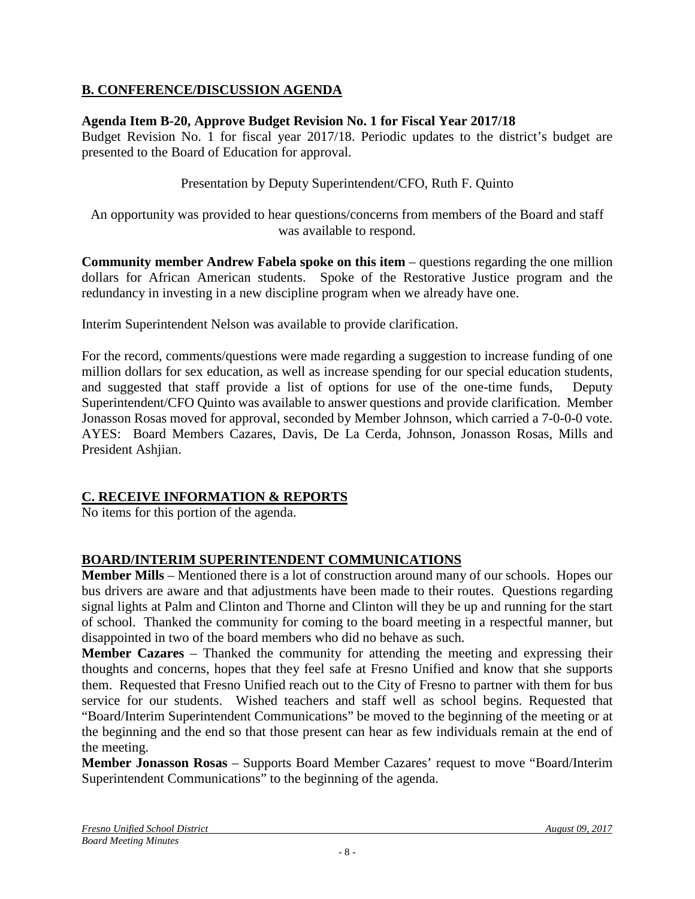# **B. CONFERENCE/DISCUSSION AGENDA**

#### **Agenda Item B-20, Approve Budget Revision No. 1 for Fiscal Year 2017/18**

Budget Revision No. 1 for fiscal year 2017/18. Periodic updates to the district's budget are presented to the Board of Education for approval.

Presentation by Deputy Superintendent/CFO, Ruth F. Quinto

An opportunity was provided to hear questions/concerns from members of the Board and staff was available to respond.

**Community member Andrew Fabela spoke on this item** – questions regarding the one million dollars for African American students. Spoke of the Restorative Justice program and the redundancy in investing in a new discipline program when we already have one.

Interim Superintendent Nelson was available to provide clarification.

For the record, comments/questions were made regarding a suggestion to increase funding of one million dollars for sex education, as well as increase spending for our special education students, and suggested that staff provide a list of options for use of the one-time funds, Deputy Superintendent/CFO Quinto was available to answer questions and provide clarification. Member Jonasson Rosas moved for approval, seconded by Member Johnson, which carried a 7-0-0-0 vote. AYES: Board Members Cazares, Davis, De La Cerda, Johnson, Jonasson Rosas, Mills and President Ashjian.

## **C. RECEIVE INFORMATION & REPORTS**

No items for this portion of the agenda.

## **BOARD/INTERIM SUPERINTENDENT COMMUNICATIONS**

**Member Mills** – Mentioned there is a lot of construction around many of our schools. Hopes our bus drivers are aware and that adjustments have been made to their routes. Questions regarding signal lights at Palm and Clinton and Thorne and Clinton will they be up and running for the start of school. Thanked the community for coming to the board meeting in a respectful manner, but disappointed in two of the board members who did no behave as such.

**Member Cazares** – Thanked the community for attending the meeting and expressing their thoughts and concerns, hopes that they feel safe at Fresno Unified and know that she supports them. Requested that Fresno Unified reach out to the City of Fresno to partner with them for bus service for our students. Wished teachers and staff well as school begins. Requested that "Board/Interim Superintendent Communications" be moved to the beginning of the meeting or at the beginning and the end so that those present can hear as few individuals remain at the end of the meeting.

**Member Jonasson Rosas** – Supports Board Member Cazares' request to move "Board/Interim Superintendent Communications" to the beginning of the agenda.